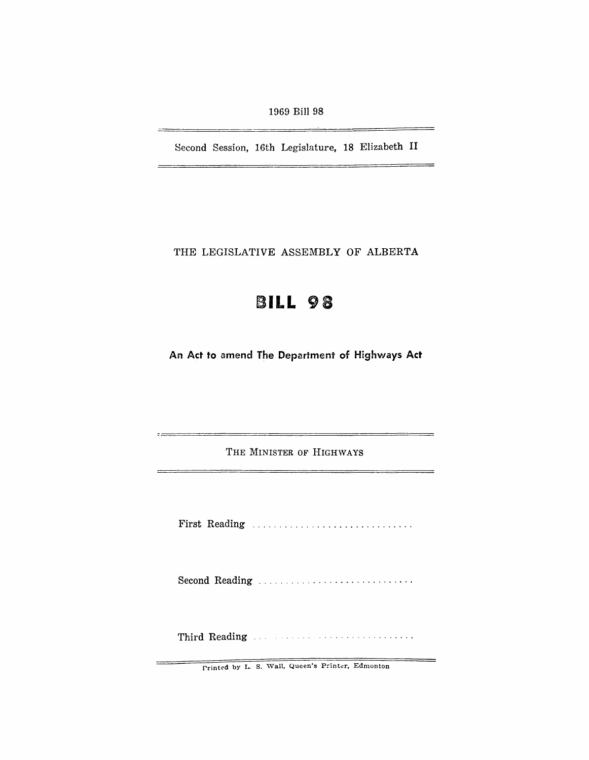$\equiv$ 

Second Session, 16th Legislature, 18 Elizabeth II

THE LEGISLATIVE ASSEMBLY OF ALBERTA

## **BILL 98**

An Act to amend The Department of Highways Act

THE MINISTER OF HIGHWAYS

 $-$ 

First Reading ............................. .

Second Reading ., .......................... .

Third Reading

Printed by L. S. Wall, Queen's Printer, Edmonton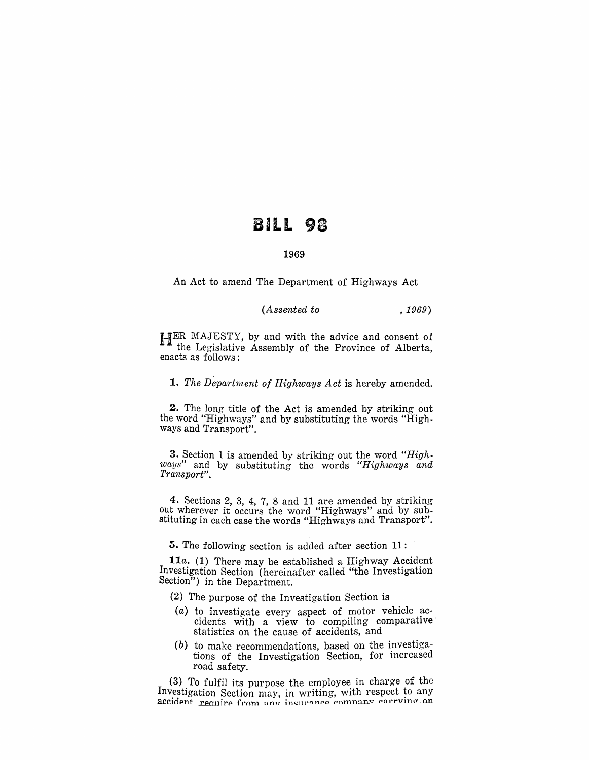## BILL 98

## 1969

An Act to amend The Department of Highways Act

*(Assented to* , 1969)

HER MAJESTY, by and with the advice and consent of the Legislative Assembly of the Province of Alberta, enacts as follows:

*1. The Department of Highways Act* is hereby amended.

2. The long title of the Act is amended by striking out the word "Highways" and by substituting the words "Highways and Transport".

3. Section 1 is amended by striking out the word *"Highways"* and by substituting the words *"Highways and Transport" .* 

4. Sections 2, 3, 4, 7, 8 and 11 are amended by striking out wherever it occurs the word "Highways" and by substituting in each case the words "Highways and Transport".

5. The following section is added after section 11:

*11a.* (1) There may be established a Highway Accident Investigation Section (hereinafter called "the Investigation Section") in the Department.

- (2) The purpose of the Investigation Section is
- $(a)$  to investigate every aspect of motor vehicle accidents with a view to compiling comparative statistics on the cause of accidents, and
- (b) to make recommendations, based on the investigations of the Investigation Section, for increased road safety.

(3) To fulfil its purpose the employee in charge of the Investigation Section may, in writing, with respect to any accident require from any insurance company carrying on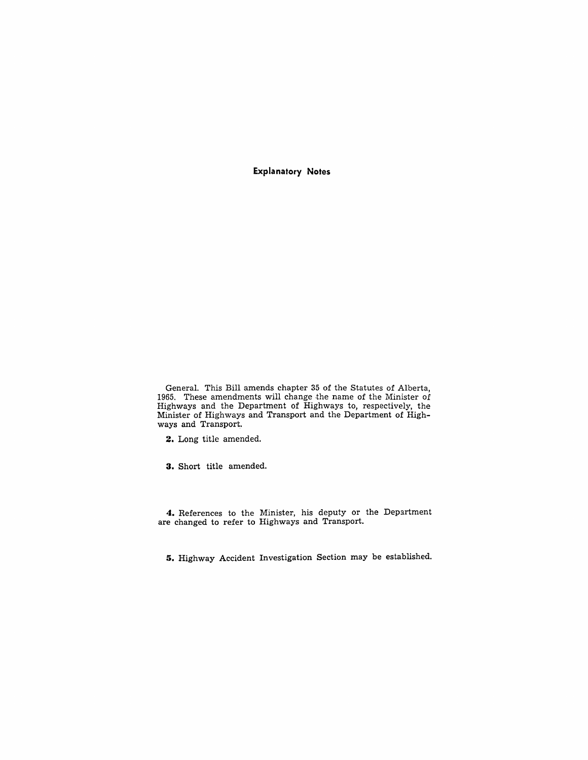**Explanatory Notes** 

General. This Bill amends chapter 35 of the Statutes of Alberta, 1965. These amendments will change the name of the Minister of Highways and the Department of Highways to, respectively, the Minister of Highways and Transport and the Department of Highways and Transport.

**2.** Long title amended.

**3.** Short title amended.

**4.** References to the Minister, his deputy or the Department are changed to refer to Highways and Transport.

**5.** Highway Accident Investigation Section may be established.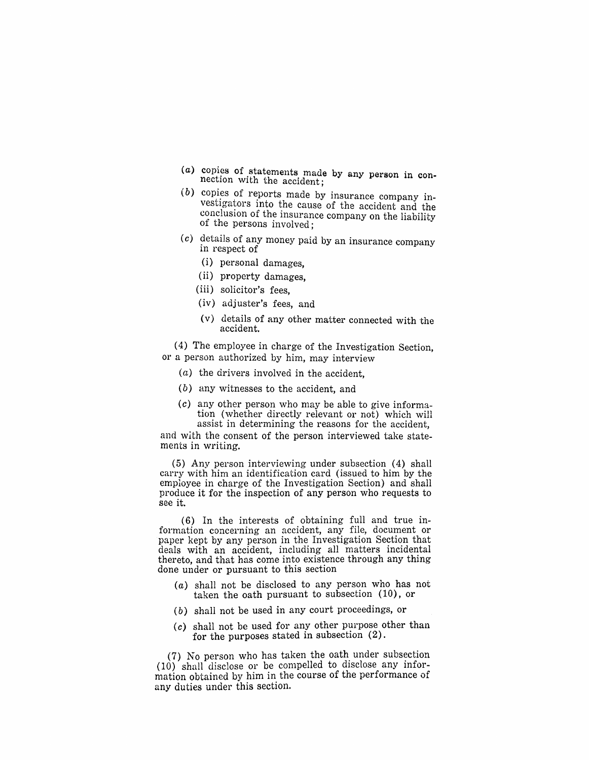- $(a)$  copies of statements made by any person in connection with the accident;
- $(b)$  copies of reports made by insurance company investigators into the cause of the accident and the conclusion of the insurance company on the liability of the persons involved:
- $(c)$  details of any money paid by an insurance company in respect of
	- (i) personal damages,
	- (ii) property damages,
	- (iii) solicitor's fees,
	- (iv) adjuster's fees, and
	- (v) details of any other matter connected with the accident.

(4) The employee in charge of the Investigation Section, or a person authorized by him, may interview

- (a) the drivers involved in the accident,
- (b) any witnesses to the accident, and
- $(c)$  any other person who may be able to give information (whether directly relevant or not) which will assist in determining the reasons for the accident,

and with the consent of the person interviewed take statements in writing.

(5) Any person interviewing under subsection (4) shall carry with him an identification card (issued to him by the employee in charge of the Investigation Section) and shall produce it for the inspection of any person who requests to see it.

(6) In the interests of obtaining full and true information concerning an accident, any file, document or paper kept by any person in the Investigation Section that deals with an accident, including all matters incidental thereto, and that has come into existence through any thing done under or pursuant to this section

- (a) shall not be disclosed to any person who has not taken the oath pursuant to subsection (10), or
- $(b)$  shall not be used in any court proceedings, or
- (c) shall not be used for any other purpose other than for the purposes stated in subsection (2).

(7) No person who has taken the oath under subsection (10) shall disclose or be compelled to disclose any information obtained by him in the course of the performance of any duties under this section.